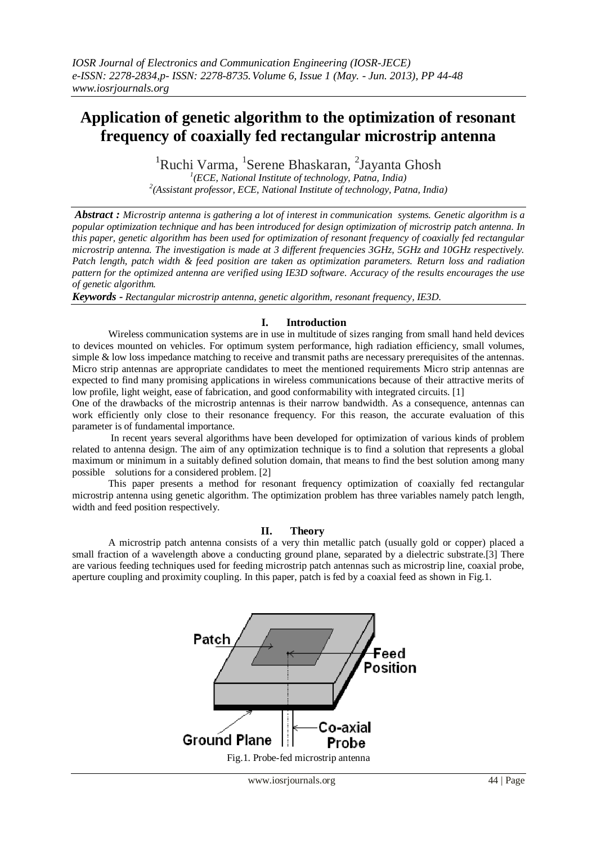# **Application of genetic algorithm to the optimization of resonant frequency of coaxially fed rectangular microstrip antenna**

<sup>1</sup>Ruchi Varma, <sup>1</sup>Serene Bhaskaran, <sup>2</sup>Jayanta Ghosh

*1 (ECE, National Institute of technology, Patna, India) 2 (Assistant professor, ECE, National Institute of technology, Patna, India)* 

*Abstract : Microstrip antenna is gathering a lot of interest in communication systems. Genetic algorithm is a popular optimization technique and has been introduced for design optimization of microstrip patch antenna. In this paper, genetic algorithm has been used for optimization of resonant frequency of coaxially fed rectangular microstrip antenna. The investigation is made at 3 different frequencies 3GHz, 5GHz and 10GHz respectively. Patch length, patch width & feed position are taken as optimization parameters. Return loss and radiation pattern for the optimized antenna are verified using IE3D software. Accuracy of the results encourages the use of genetic algorithm.*

*Keywords - Rectangular microstrip antenna, genetic algorithm, resonant frequency, IE3D.*

## **I. Introduction**

Wireless communication systems are in use in multitude of sizes ranging from small hand held devices to devices mounted on vehicles. For optimum system performance, high radiation efficiency, small volumes, simple & low loss impedance matching to receive and transmit paths are necessary prerequisites of the antennas. Micro strip antennas are appropriate candidates to meet the mentioned requirements Micro strip antennas are expected to find many promising applications in wireless communications because of their attractive merits of low profile, light weight, ease of fabrication, and good conformability with integrated circuits. [1]

One of the drawbacks of the microstrip antennas is their narrow bandwidth. As a consequence, antennas can work efficiently only close to their resonance frequency. For this reason, the accurate evaluation of this parameter is of fundamental importance.

In recent years several algorithms have been developed for optimization of various kinds of problem related to antenna design. The aim of any optimization technique is to find a solution that represents a global maximum or minimum in a suitably defined solution domain, that means to find the best solution among many possible solutions for a considered problem. [2]

This paper presents a method for resonant frequency optimization of coaxially fed rectangular microstrip antenna using genetic algorithm. The optimization problem has three variables namely patch length, width and feed position respectively.

## **II. Theory**

A microstrip patch antenna consists of a very thin metallic patch (usually gold or copper) placed a small fraction of a wavelength above a conducting ground plane, separated by a dielectric substrate.[3] There are various feeding techniques used for feeding microstrip patch antennas such as microstrip line, coaxial probe, aperture coupling and proximity coupling. In this paper, patch is fed by a coaxial feed as shown in Fig.1.

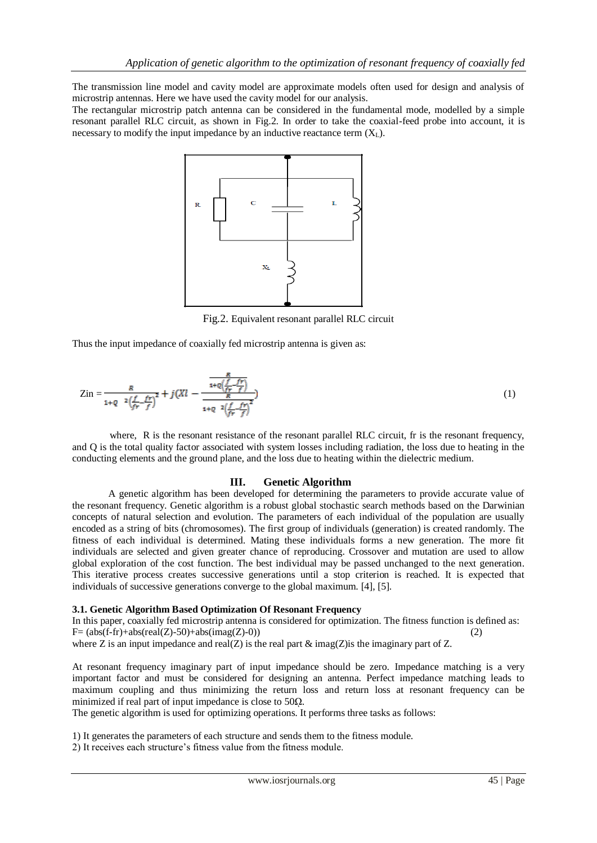The transmission line model and cavity model are approximate models often used for design and analysis of microstrip antennas. Here we have used the cavity model for our analysis.

The rectangular microstrip patch antenna can be considered in the fundamental mode, modelled by a simple resonant parallel RLC circuit, as shown in Fig.2. In order to take the coaxial-feed probe into account, it is necessary to modify the input impedance by an inductive reactance term  $(X_L)$ .



Fig.2. Equivalent resonant parallel RLC circuit

Thus the input impedance of coaxially fed microstrip antenna is given as:

$$
Zin = \frac{R}{1+Q^{-2}\left(\frac{f}{fr}-\frac{fr}{f}\right)^2} + j\left(Xl - \frac{\frac{R}{1+Q\left(\frac{f}{fr}-\frac{fr}{f}\right)}}{\frac{R}{1+Q^{-2}\left(\frac{f}{fr}-\frac{fr}{f}\right)^2}}\right) \tag{1}
$$

where. R is the resonant resistance of the resonant parallel RLC circuit, fr is the resonant frequency, and Q is the total quality factor associated with system losses including radiation, the loss due to heating in the conducting elements and the ground plane, and the loss due to heating within the dielectric medium.

## **III. Genetic Algorithm**

A genetic algorithm has been developed for determining the parameters to provide accurate value of the resonant frequency. Genetic algorithm is a robust global stochastic search methods based on the Darwinian concepts of natural selection and evolution. The parameters of each individual of the population are usually encoded as a string of bits (chromosomes). The first group of individuals (generation) is created randomly. The fitness of each individual is determined. Mating these individuals forms a new generation. The more fit individuals are selected and given greater chance of reproducing. Crossover and mutation are used to allow global exploration of the cost function. The best individual may be passed unchanged to the next generation. This iterative process creates successive generations until a stop criterion is reached. It is expected that individuals of successive generations converge to the global maximum. [4], [5].

#### **3.1. Genetic Algorithm Based Optimization Of Resonant Frequency**

In this paper, coaxially fed microstrip antenna is considered for optimization. The fitness function is defined as:  $F=(absf-fr)+absf(real(Z)-50)+absim(2)$  (2)

where Z is an input impedance and real(Z) is the real part  $\&$  imag(Z) is the imaginary part of Z.

At resonant frequency imaginary part of input impedance should be zero. Impedance matching is a very important factor and must be considered for designing an antenna. Perfect impedance matching leads to maximum coupling and thus minimizing the return loss and return loss at resonant frequency can be minimized if real part of input impedance is close to  $50\Omega$ .

The genetic algorithm is used for optimizing operations. It performs three tasks as follows:

1) It generates the parameters of each structure and sends them to the fitness module.

2) It receives each structure's fitness value from the fitness module.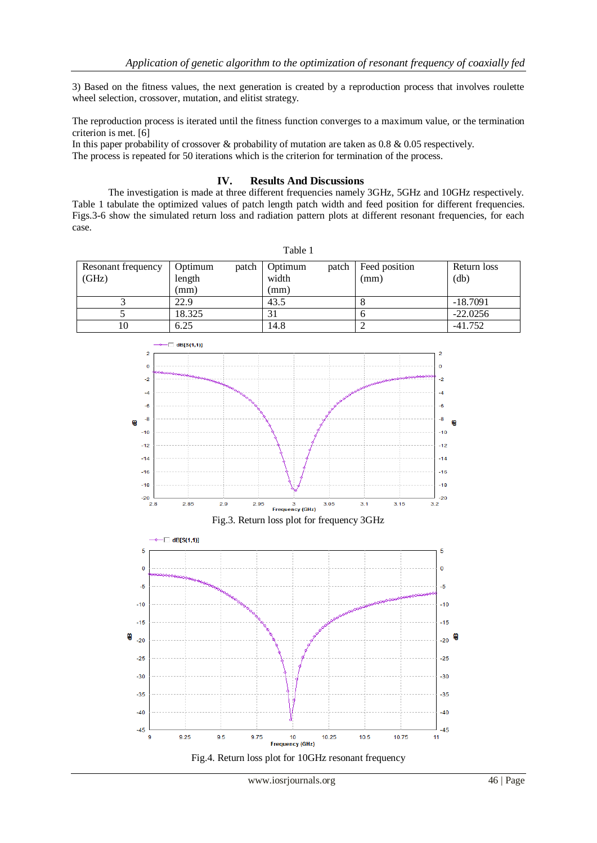3) Based on the fitness values, the next generation is created by a reproduction process that involves roulette wheel selection, crossover, mutation, and elitist strategy.

The reproduction process is iterated until the fitness function converges to a maximum value, or the termination criterion is met. [6]

In this paper probability of crossover & probability of mutation are taken as 0.8 & 0.05 respectively. The process is repeated for 50 iterations which is the criterion for termination of the process.

## **IV. Results And Discussions**

The investigation is made at three different frequencies namely 3GHz, 5GHz and 10GHz respectively. Table 1 tabulate the optimized values of patch length patch width and feed position for different frequencies. Figs.3-6 show the simulated return loss and radiation pattern plots at different resonant frequencies, for each case.

Table 1

| Resonant frequency | Optimum | patch | Optimum | patch | Feed position | Return loss |
|--------------------|---------|-------|---------|-------|---------------|-------------|
| (GHz)              | length  |       | width   |       | (mm)          | (db)        |
|                    | (mm)    |       | mm)     |       |               |             |
|                    | 22.9    |       | 43.5    |       |               | $-18.7091$  |
|                    | 18.325  |       |         |       |               | $-22.0256$  |
| l0                 | 6.25    |       | 14.8    |       |               | $-41.752$   |

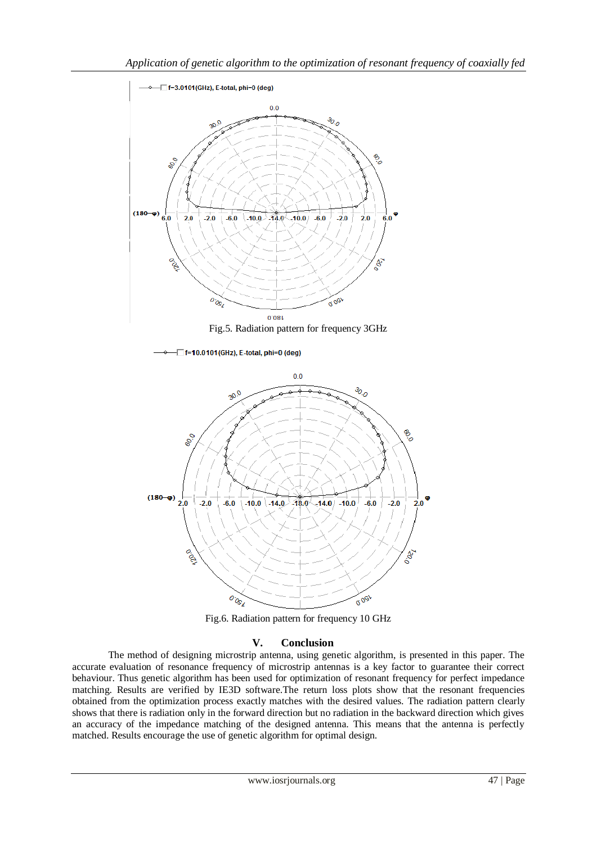

Fig.6. Radiation pattern for frequency 10 GHz

# **V. Conclusion**

The method of designing microstrip antenna, using genetic algorithm, is presented in this paper. The accurate evaluation of resonance frequency of microstrip antennas is a key factor to guarantee their correct behaviour. Thus genetic algorithm has been used for optimization of resonant frequency for perfect impedance matching. Results are verified by IE3D software.The return loss plots show that the resonant frequencies obtained from the optimization process exactly matches with the desired values. The radiation pattern clearly shows that there is radiation only in the forward direction but no radiation in the backward direction which gives an accuracy of the impedance matching of the designed antenna. This means that the antenna is perfectly matched. Results encourage the use of genetic algorithm for optimal design.